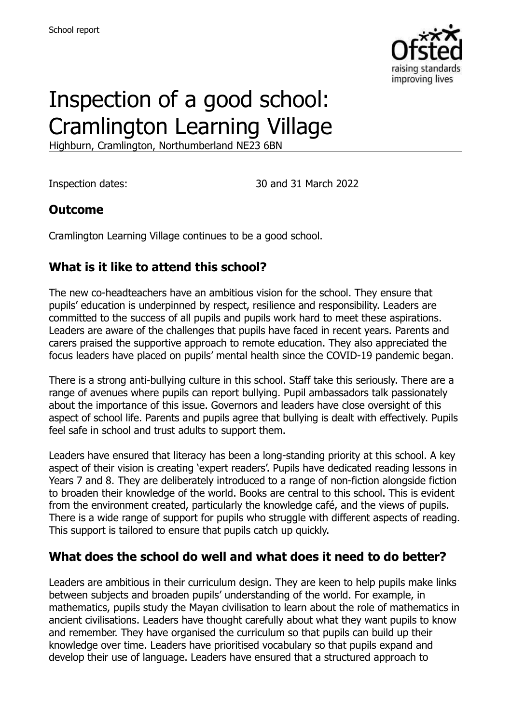

# Inspection of a good school: Cramlington Learning Village

Highburn, Cramlington, Northumberland NE23 6BN

Inspection dates: 30 and 31 March 2022

#### **Outcome**

Cramlington Learning Village continues to be a good school.

## **What is it like to attend this school?**

The new co-headteachers have an ambitious vision for the school. They ensure that pupils' education is underpinned by respect, resilience and responsibility. Leaders are committed to the success of all pupils and pupils work hard to meet these aspirations. Leaders are aware of the challenges that pupils have faced in recent years. Parents and carers praised the supportive approach to remote education. They also appreciated the focus leaders have placed on pupils' mental health since the COVID-19 pandemic began.

There is a strong anti-bullying culture in this school. Staff take this seriously. There are a range of avenues where pupils can report bullying. Pupil ambassadors talk passionately about the importance of this issue. Governors and leaders have close oversight of this aspect of school life. Parents and pupils agree that bullying is dealt with effectively. Pupils feel safe in school and trust adults to support them.

Leaders have ensured that literacy has been a long-standing priority at this school. A key aspect of their vision is creating 'expert readers'. Pupils have dedicated reading lessons in Years 7 and 8. They are deliberately introduced to a range of non-fiction alongside fiction to broaden their knowledge of the world. Books are central to this school. This is evident from the environment created, particularly the knowledge café, and the views of pupils. There is a wide range of support for pupils who struggle with different aspects of reading. This support is tailored to ensure that pupils catch up quickly.

## **What does the school do well and what does it need to do better?**

Leaders are ambitious in their curriculum design. They are keen to help pupils make links between subjects and broaden pupils' understanding of the world. For example, in mathematics, pupils study the Mayan civilisation to learn about the role of mathematics in ancient civilisations. Leaders have thought carefully about what they want pupils to know and remember. They have organised the curriculum so that pupils can build up their knowledge over time. Leaders have prioritised vocabulary so that pupils expand and develop their use of language. Leaders have ensured that a structured approach to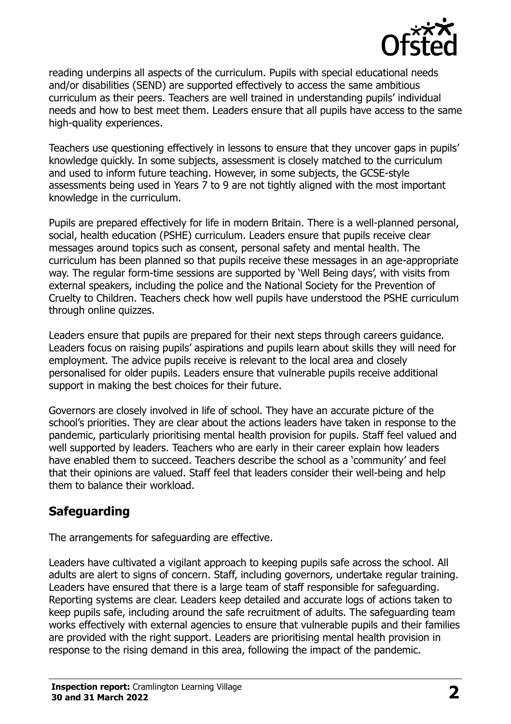

reading underpins all aspects of the curriculum. Pupils with special educational needs and/or disabilities (SEND) are supported effectively to access the same ambitious curriculum as their peers. Teachers are well trained in understanding pupils' individual needs and how to best meet them. Leaders ensure that all pupils have access to the same high-quality experiences.

Teachers use questioning effectively in lessons to ensure that they uncover gaps in pupils' knowledge quickly. In some subjects, assessment is closely matched to the curriculum and used to inform future teaching. However, in some subjects, the GCSE-style assessments being used in Years 7 to 9 are not tightly aligned with the most important knowledge in the curriculum.

Pupils are prepared effectively for life in modern Britain. There is a well-planned personal, social, health education (PSHE) curriculum. Leaders ensure that pupils receive clear messages around topics such as consent, personal safety and mental health. The curriculum has been planned so that pupils receive these messages in an age-appropriate way. The regular form-time sessions are supported by 'Well Being days', with visits from external speakers, including the police and the National Society for the Prevention of Cruelty to Children. Teachers check how well pupils have understood the PSHE curriculum through online quizzes.

Leaders ensure that pupils are prepared for their next steps through careers guidance. Leaders focus on raising pupils' aspirations and pupils learn about skills they will need for employment. The advice pupils receive is relevant to the local area and closely personalised for older pupils. Leaders ensure that vulnerable pupils receive additional support in making the best choices for their future.

Governors are closely involved in life of school. They have an accurate picture of the school's priorities. They are clear about the actions leaders have taken in response to the pandemic, particularly prioritising mental health provision for pupils. Staff feel valued and well supported by leaders. Teachers who are early in their career explain how leaders have enabled them to succeed. Teachers describe the school as a 'community' and feel that their opinions are valued. Staff feel that leaders consider their well-being and help them to balance their workload.

## **Safeguarding**

The arrangements for safeguarding are effective.

Leaders have cultivated a vigilant approach to keeping pupils safe across the school. All adults are alert to signs of concern. Staff, including governors, undertake regular training. Leaders have ensured that there is a large team of staff responsible for safeguarding. Reporting systems are clear. Leaders keep detailed and accurate logs of actions taken to keep pupils safe, including around the safe recruitment of adults. The safeguarding team works effectively with external agencies to ensure that vulnerable pupils and their families are provided with the right support. Leaders are prioritising mental health provision in response to the rising demand in this area, following the impact of the pandemic.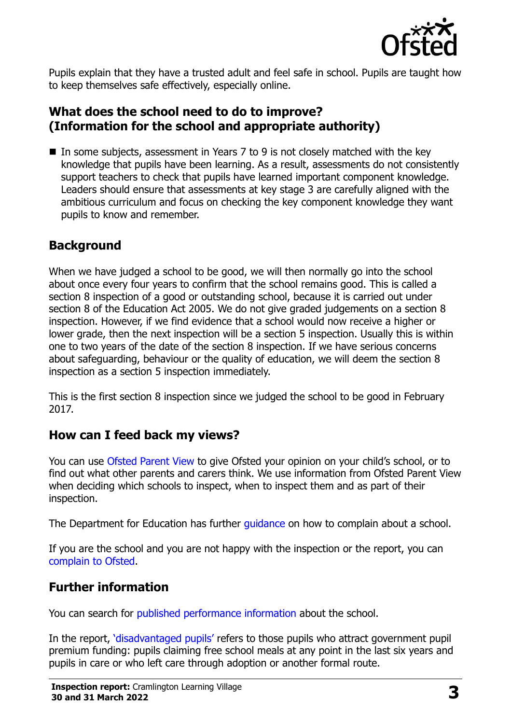

Pupils explain that they have a trusted adult and feel safe in school. Pupils are taught how to keep themselves safe effectively, especially online.

### **What does the school need to do to improve? (Information for the school and appropriate authority)**

■ In some subjects, assessment in Years 7 to 9 is not closely matched with the key knowledge that pupils have been learning. As a result, assessments do not consistently support teachers to check that pupils have learned important component knowledge. Leaders should ensure that assessments at key stage 3 are carefully aligned with the ambitious curriculum and focus on checking the key component knowledge they want pupils to know and remember.

## **Background**

When we have judged a school to be good, we will then normally go into the school about once every four years to confirm that the school remains good. This is called a section 8 inspection of a good or outstanding school, because it is carried out under section 8 of the Education Act 2005. We do not give graded judgements on a section 8 inspection. However, if we find evidence that a school would now receive a higher or lower grade, then the next inspection will be a section 5 inspection. Usually this is within one to two years of the date of the section 8 inspection. If we have serious concerns about safeguarding, behaviour or the quality of education, we will deem the section 8 inspection as a section 5 inspection immediately.

This is the first section 8 inspection since we judged the school to be good in February 2017.

#### **How can I feed back my views?**

You can use [Ofsted Parent View](https://parentview.ofsted.gov.uk/) to give Ofsted your opinion on your child's school, or to find out what other parents and carers think. We use information from Ofsted Parent View when deciding which schools to inspect, when to inspect them and as part of their inspection.

The Department for Education has further quidance on how to complain about a school.

If you are the school and you are not happy with the inspection or the report, you can [complain to Ofsted.](https://www.gov.uk/complain-ofsted-report)

## **Further information**

You can search for [published performance information](http://www.compare-school-performance.service.gov.uk/) about the school.

In the report, '[disadvantaged pupils](http://www.gov.uk/guidance/pupil-premium-information-for-schools-and-alternative-provision-settings)' refers to those pupils who attract government pupil premium funding: pupils claiming free school meals at any point in the last six years and pupils in care or who left care through adoption or another formal route.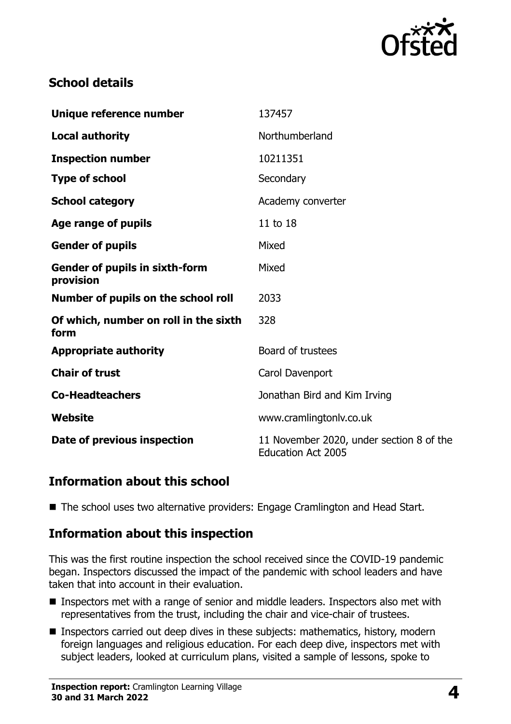

## **School details**

| Unique reference number                            | 137457                                                                |
|----------------------------------------------------|-----------------------------------------------------------------------|
| <b>Local authority</b>                             | Northumberland                                                        |
| <b>Inspection number</b>                           | 10211351                                                              |
| <b>Type of school</b>                              | Secondary                                                             |
| <b>School category</b>                             | Academy converter                                                     |
| Age range of pupils                                | 11 to 18                                                              |
| <b>Gender of pupils</b>                            | Mixed                                                                 |
| <b>Gender of pupils in sixth-form</b><br>provision | Mixed                                                                 |
| Number of pupils on the school roll                | 2033                                                                  |
| Of which, number on roll in the sixth<br>form      | 328                                                                   |
| <b>Appropriate authority</b>                       | Board of trustees                                                     |
| <b>Chair of trust</b>                              | Carol Davenport                                                       |
| <b>Co-Headteachers</b>                             | Jonathan Bird and Kim Irving                                          |
| Website                                            | www.cramlingtonlv.co.uk                                               |
| Date of previous inspection                        | 11 November 2020, under section 8 of the<br><b>Education Act 2005</b> |

#### **Information about this school**

■ The school uses two alternative providers: Engage Cramlington and Head Start.

#### **Information about this inspection**

This was the first routine inspection the school received since the COVID-19 pandemic began. Inspectors discussed the impact of the pandemic with school leaders and have taken that into account in their evaluation.

- Inspectors met with a range of senior and middle leaders. Inspectors also met with representatives from the trust, including the chair and vice-chair of trustees.
- Inspectors carried out deep dives in these subjects: mathematics, history, modern foreign languages and religious education. For each deep dive, inspectors met with subject leaders, looked at curriculum plans, visited a sample of lessons, spoke to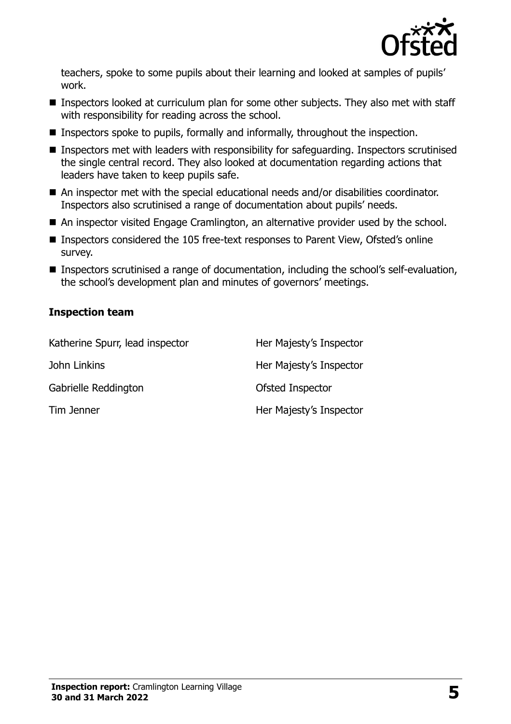

teachers, spoke to some pupils about their learning and looked at samples of pupils' work.

- Inspectors looked at curriculum plan for some other subjects. They also met with staff with responsibility for reading across the school.
- Inspectors spoke to pupils, formally and informally, throughout the inspection.
- Inspectors met with leaders with responsibility for safeguarding. Inspectors scrutinised the single central record. They also looked at documentation regarding actions that leaders have taken to keep pupils safe.
- An inspector met with the special educational needs and/or disabilities coordinator. Inspectors also scrutinised a range of documentation about pupils' needs.
- An inspector visited Engage Cramlington, an alternative provider used by the school.
- Inspectors considered the 105 free-text responses to Parent View, Ofsted's online survey.
- Inspectors scrutinised a range of documentation, including the school's self-evaluation, the school's development plan and minutes of governors' meetings.

#### **Inspection team**

| Katherine Spurr, lead inspector | Her Majesty's Inspector |
|---------------------------------|-------------------------|
| John Linkins                    | Her Majesty's Inspector |
| Gabrielle Reddington            | Ofsted Inspector        |
| Tim Jenner                      | Her Majesty's Inspector |